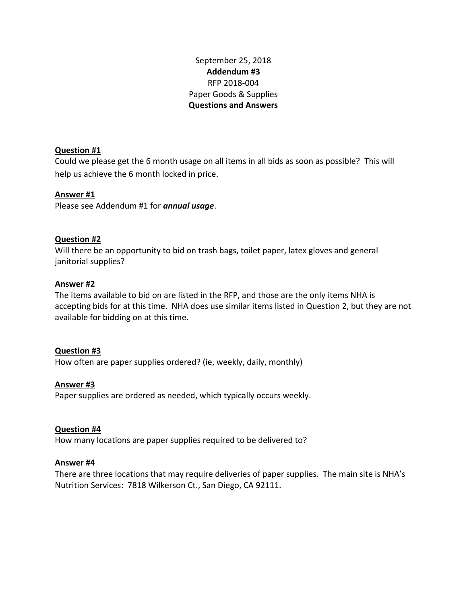September 25, 2018 **Addendum #3** RFP 2018-004 Paper Goods & Supplies **Questions and Answers**

## **Question #1**

Could we please get the 6 month usage on all items in all bids as soon as possible? This will help us achieve the 6 month locked in price.

## **Answer #1**

Please see Addendum #1 for *annual usage*.

# **Question #2**

Will there be an opportunity to bid on trash bags, toilet paper, latex gloves and general janitorial supplies?

### **Answer #2**

The items available to bid on are listed in the RFP, and those are the only items NHA is accepting bids for at this time. NHA does use similar items listed in Question 2, but they are not available for bidding on at this time.

### **Question #3**

How often are paper supplies ordered? (ie, weekly, daily, monthly)

### **Answer #3**

Paper supplies are ordered as needed, which typically occurs weekly.

### **Question #4**

How many locations are paper supplies required to be delivered to?

### **Answer #4**

There are three locations that may require deliveries of paper supplies. The main site is NHA's Nutrition Services: 7818 Wilkerson Ct., San Diego, CA 92111.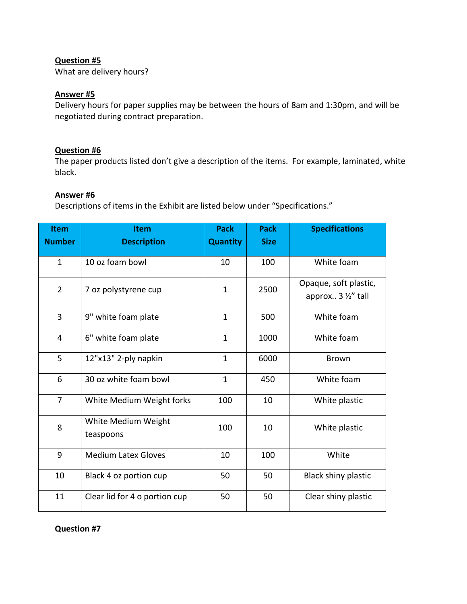## **Question #5**

What are delivery hours?

### **Answer #5**

Delivery hours for paper supplies may be between the hours of 8am and 1:30pm, and will be negotiated during contract preparation.

### **Question #6**

The paper products listed don't give a description of the items. For example, laminated, white black.

#### **Answer #6**

Descriptions of items in the Exhibit are listed below under "Specifications."

| <b>Item</b><br><b>Number</b> | <b>Item</b><br><b>Description</b> | <b>Pack</b><br><b>Quantity</b> | <b>Pack</b><br><b>Size</b> | <b>Specifications</b>                       |
|------------------------------|-----------------------------------|--------------------------------|----------------------------|---------------------------------------------|
| $\mathbf{1}$                 | 10 oz foam bowl                   | 10                             | 100                        | White foam                                  |
| $\overline{2}$               | 7 oz polystyrene cup              | $\mathbf{1}$                   | 2500                       | Opaque, soft plastic,<br>approx 3 1/2" tall |
| 3                            | 9" white foam plate               | $\mathbf{1}$                   | 500                        | White foam                                  |
| $\overline{4}$               | 6" white foam plate               | $\mathbf{1}$                   | 1000                       | White foam                                  |
| 5                            | 12"x13" 2-ply napkin              | $\mathbf{1}$                   | 6000                       | <b>Brown</b>                                |
| 6                            | 30 oz white foam bowl             | $\mathbf{1}$                   | 450                        | White foam                                  |
| $\overline{7}$               | White Medium Weight forks         | 100                            | 10                         | White plastic                               |
| 8                            | White Medium Weight<br>teaspoons  | 100                            | 10                         | White plastic                               |
| 9                            | <b>Medium Latex Gloves</b>        | 10                             | 100                        | White                                       |
| 10                           | Black 4 oz portion cup            | 50                             | 50                         | <b>Black shiny plastic</b>                  |
| 11                           | Clear lid for 4 o portion cup     | 50                             | 50                         | Clear shiny plastic                         |

### **Question #7**